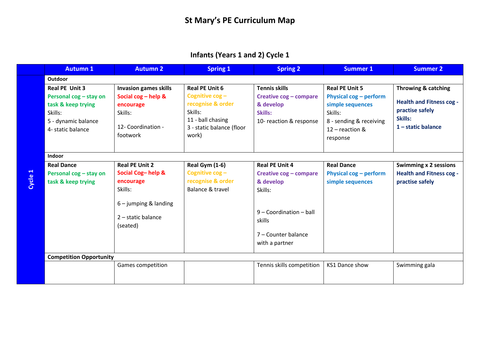## **Infants (Years 1 and 2) Cycle 1**

|  | <b>Autumn 1</b>                                                                                         | <b>Autumn 2</b>                                                                                                                   | <b>Spring 1</b>                                                                              | <b>Spring 2</b>                                                                                                                                         | Summer 1                                                                                                     | <b>Summer 2</b>                                                                      |
|--|---------------------------------------------------------------------------------------------------------|-----------------------------------------------------------------------------------------------------------------------------------|----------------------------------------------------------------------------------------------|---------------------------------------------------------------------------------------------------------------------------------------------------------|--------------------------------------------------------------------------------------------------------------|--------------------------------------------------------------------------------------|
|  | <b>Outdoor</b>                                                                                          |                                                                                                                                   |                                                                                              |                                                                                                                                                         |                                                                                                              |                                                                                      |
|  | <b>Real PE Unit 3</b><br>Personal cog - stay on<br>task & keep trying<br>Skills:<br>5 - dynamic balance | <b>Invasion games skills</b><br>Social $\cos - h$ elp &<br>encourage<br>Skills:                                                   | <b>Real PE Unit 6</b><br>Cognitive cog-<br>recognise & order<br>Skills:<br>11 - ball chasing | <b>Tennis skills</b><br>Creative cog - compare<br>& develop<br>Skills:<br>10- reaction & response                                                       | <b>Real PE Unit 5</b><br>Physical $\cos$ – perform<br>simple sequences<br>Skills:<br>8 - sending & receiving | Throwing & catching<br><b>Health and Fitness cog -</b><br>practise safely<br>Skills: |
|  | 4- static balance                                                                                       | 12- Coordination -<br>footwork                                                                                                    | 3 - static balance (floor<br>work)                                                           |                                                                                                                                                         | $12$ – reaction &<br>response                                                                                | $1$ – static balance                                                                 |
|  | <b>Indoor</b>                                                                                           |                                                                                                                                   |                                                                                              |                                                                                                                                                         |                                                                                                              |                                                                                      |
|  | <b>Real Dance</b><br>Personal cog - stay on<br>task & keep trying                                       | <b>Real PE Unit 2</b><br>Social Cog-help &<br>encourage<br>Skills:<br>$6 -$ jumping & landing<br>$2$ – static balance<br>(seated) | <b>Real Gym (1-6)</b><br>Cognitive $\cos$ –<br>recognise & order<br>Balance & travel         | <b>Real PE Unit 4</b><br>Creative cog - compare<br>& develop<br>Skills:<br>$9 - Coordination - ball$<br>skills<br>7 - Counter balance<br>with a partner | <b>Real Dance</b><br>Physical cog - perform<br>simple sequences                                              | <b>Swimming x 2 sessions</b><br><b>Health and Fitness cog -</b><br>practise safely   |
|  | <b>Competition Opportunity</b>                                                                          |                                                                                                                                   |                                                                                              |                                                                                                                                                         |                                                                                                              |                                                                                      |
|  |                                                                                                         | Games competition                                                                                                                 |                                                                                              | Tennis skills competition                                                                                                                               | KS1 Dance show                                                                                               | Swimming gala                                                                        |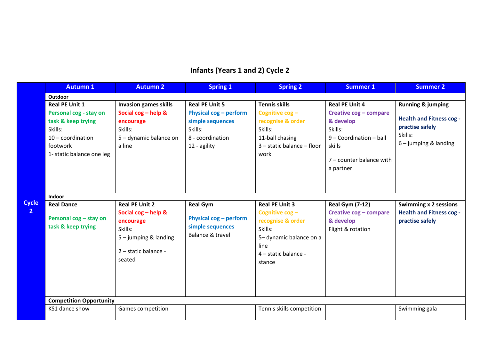# **Infants (Years 1 and 2) Cycle 2**

|                              | <b>Autumn 1</b>                                                                                                         | <b>Autumn 2</b>                                                                                                                   | <b>Spring 1</b>                                                                           | <b>Spring 2</b>                                                                                                                             | <b>Summer 1</b>                                                                                                                | <b>Summer 2</b>                                                                          |
|------------------------------|-------------------------------------------------------------------------------------------------------------------------|-----------------------------------------------------------------------------------------------------------------------------------|-------------------------------------------------------------------------------------------|---------------------------------------------------------------------------------------------------------------------------------------------|--------------------------------------------------------------------------------------------------------------------------------|------------------------------------------------------------------------------------------|
|                              | Outdoor<br><b>Real PE Unit 1</b>                                                                                        | <b>Invasion games skills</b>                                                                                                      | <b>Real PE Unit 5</b>                                                                     | <b>Tennis skills</b>                                                                                                                        | <b>Real PE Unit 4</b>                                                                                                          | <b>Running &amp; jumping</b>                                                             |
|                              | Personal cog - stay on<br>task & keep trying<br>Skills:<br>$10$ – coordination<br>footwork<br>1- static balance one leg | Social $\cos - h$ elp &<br>encourage<br>Skills:<br>5 - dynamic balance on<br>a line                                               | Physical cog - perform<br>simple sequences<br>Skills:<br>8 - coordination<br>12 - agility | Cognitive cog-<br>recognise & order<br>Skills:<br>11-ball chasing<br>$3$ – static balance – floor<br>work                                   | Creative cog - compare<br>& develop<br>Skills:<br>$9 - Coordination - ball$<br>skills<br>7 - counter balance with<br>a partner | <b>Health and Fitness cog -</b><br>practise safely<br>Skills:<br>$6 -$ jumping & landing |
| <b>Cycle</b><br>$\mathbf{2}$ | Indoor<br><b>Real Dance</b><br>Personal cog - stay on<br>task & keep trying                                             | <b>Real PE Unit 2</b><br>Social cog - help &<br>encourage<br>Skills:<br>$5 -$ jumping & landing<br>2 - static balance -<br>seated | <b>Real Gym</b><br>Physical cog - perform<br>simple sequences<br>Balance & travel         | <b>Real PE Unit 3</b><br>Cognitive cog-<br>recognise & order<br>Skills:<br>5-dynamic balance on a<br>line<br>4 - static balance -<br>stance | <b>Real Gym (7-12)</b><br>Creative cog - compare<br>& develop<br>Flight & rotation                                             | <b>Swimming x 2 sessions</b><br><b>Health and Fitness cog -</b><br>practise safely       |
|                              | <b>Competition Opportunity</b><br>KS1 dance show                                                                        | Games competition                                                                                                                 |                                                                                           | Tennis skills competition                                                                                                                   |                                                                                                                                | Swimming gala                                                                            |
|                              |                                                                                                                         |                                                                                                                                   |                                                                                           |                                                                                                                                             |                                                                                                                                |                                                                                          |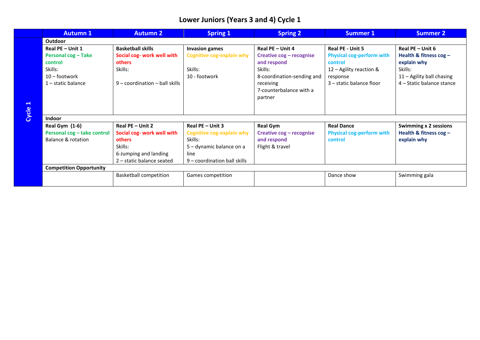### **Lower Juniors (Years 3 and 4) Cycle 1**

|       | <b>Autumn 1</b>                | <b>Autumn 2</b>                  | <b>Spring 1</b>                  | <b>Spring 2</b>            | Summer 1                         | <b>Summer 2</b>              |  |  |
|-------|--------------------------------|----------------------------------|----------------------------------|----------------------------|----------------------------------|------------------------------|--|--|
|       | Outdoor                        |                                  |                                  |                            |                                  |                              |  |  |
|       | Real PE - Unit 1               | <b>Basketball skills</b>         | <b>Invasion games</b>            | Real PE - Unit 4           | Real PE - Unit 5                 | Real $PE$ – Unit 6           |  |  |
|       | <b>Personal cog-Take</b>       | Social cog- work well with       | <b>Cognitive cog-explain why</b> | Creative cog - recognise   | <b>Physical cog-perform with</b> | Health & fitness $\cos$ –    |  |  |
|       | control                        | others                           |                                  | and respond                | control                          | explain why                  |  |  |
|       | Skills:                        | Skills:                          | Skills:                          | Skills:                    | $12 -$ Agility reaction &        | Skills:                      |  |  |
|       | $10 -$ footwork                |                                  | 10 - footwork                    | 8-coordination-sending and | response                         | 11 - Agility ball chasing    |  |  |
|       | $1$ – static balance           | $9$ – coordination – ball skills |                                  | receiving                  | 3 – static balance floor         | 4 – Static balance stance    |  |  |
|       |                                |                                  |                                  | 7-counterbalance with a    |                                  |                              |  |  |
|       |                                |                                  |                                  | partner                    |                                  |                              |  |  |
| ⊣     |                                |                                  |                                  |                            |                                  |                              |  |  |
| Cycle |                                |                                  |                                  |                            |                                  |                              |  |  |
|       | <b>Indoor</b>                  |                                  |                                  |                            |                                  |                              |  |  |
|       | Real Gym (1-6)                 | <b>Real PE - Unit 2</b>          | Real PE - Unit 3                 | <b>Real Gym</b>            | <b>Real Dance</b>                | <b>Swimming x 2 sessions</b> |  |  |
|       | Personal cog - take control    | Social cog- work well with       | <b>Cognitive cog-explain why</b> | Creative cog - recognise   | <b>Physical cog-perform with</b> | Health & fitness $\cos$ –    |  |  |
|       | Balance & rotation             | others                           | Skills:                          | and respond                | control                          | explain why                  |  |  |
|       |                                | Skills:                          | 5 – dynamic balance on a         | Flight & travel            |                                  |                              |  |  |
|       |                                | 6-Jumping and landing            | line                             |                            |                                  |                              |  |  |
|       |                                | 2 - static balance seated        | 9 – coordination ball skills     |                            |                                  |                              |  |  |
|       | <b>Competition Opportunity</b> |                                  |                                  |                            |                                  |                              |  |  |
|       |                                | <b>Basketball competition</b>    | Games competition                |                            | Dance show                       | Swimming gala                |  |  |
|       |                                |                                  |                                  |                            |                                  |                              |  |  |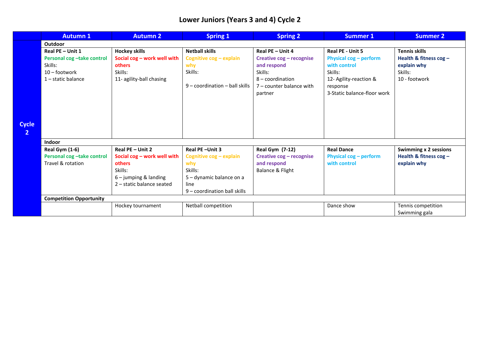### **Lower Juniors (Years 3 and 4) Cycle 2**

|                | <b>Autumn 1</b>                                                                 | <b>Autumn 2</b>                                                                                                 | <b>Spring 1</b>                                                                                                  | <b>Spring 2</b>                                                                                                 | <b>Summer 1</b>                                                                                                               | <b>Summer 2</b>                                                      |
|----------------|---------------------------------------------------------------------------------|-----------------------------------------------------------------------------------------------------------------|------------------------------------------------------------------------------------------------------------------|-----------------------------------------------------------------------------------------------------------------|-------------------------------------------------------------------------------------------------------------------------------|----------------------------------------------------------------------|
|                | Outdoor                                                                         |                                                                                                                 |                                                                                                                  |                                                                                                                 |                                                                                                                               |                                                                      |
|                | Real PE - Unit 1                                                                | <b>Hockey skills</b>                                                                                            | <b>Netball skills</b>                                                                                            | Real PE - Unit 4                                                                                                | Real PE - Unit 5                                                                                                              | <b>Tennis skills</b>                                                 |
| <b>Cycle</b>   | Personal cog-take control<br>Skills:<br>$10 -$ footwork<br>$1$ – static balance | Social cog - work well with<br>others<br>Skills:<br>11- agility-ball chasing                                    | Cognitive cog - explain<br>why<br>Skills:<br>$9$ – coordination – ball skills                                    | Creative cog - recognise<br>and respond<br>Skills:<br>8 - coordination<br>$7$ – counter balance with<br>partner | <b>Physical cog - perform</b><br>with control<br>Skills:<br>12- Agility-reaction &<br>response<br>3-Static balance-floor work | Health & fitness $\cos$ -<br>explain why<br>Skills:<br>10 - footwork |
| $\overline{2}$ |                                                                                 |                                                                                                                 |                                                                                                                  |                                                                                                                 |                                                                                                                               |                                                                      |
|                | Indoor                                                                          |                                                                                                                 |                                                                                                                  |                                                                                                                 |                                                                                                                               |                                                                      |
|                | Real Gym (1-6)                                                                  | Real PE - Unit 2                                                                                                | Real PE-Unit 3                                                                                                   | <b>Real Gym (7-12)</b>                                                                                          | <b>Real Dance</b>                                                                                                             | <b>Swimming x 2 sessions</b>                                         |
|                | Personal cog-take control<br>Travel & rotation                                  | Social cog - work well with<br><b>others</b><br>Skills:<br>$6$ – jumping & landing<br>2 - static balance seated | Cognitive $\cos$ – explain<br>why<br>Skills:<br>5 – dynamic balance on a<br>line<br>9 - coordination ball skills | Creative cog - recognise<br>and respond<br>Balance & Flight                                                     | <b>Physical cog - perform</b><br>with control                                                                                 | Health & fitness cog-<br>explain why                                 |
|                | <b>Competition Opportunity</b>                                                  |                                                                                                                 |                                                                                                                  |                                                                                                                 |                                                                                                                               |                                                                      |
|                |                                                                                 | Hockey tournament                                                                                               | Netball competition                                                                                              |                                                                                                                 | Dance show                                                                                                                    | Tennis competition<br>Swimming gala                                  |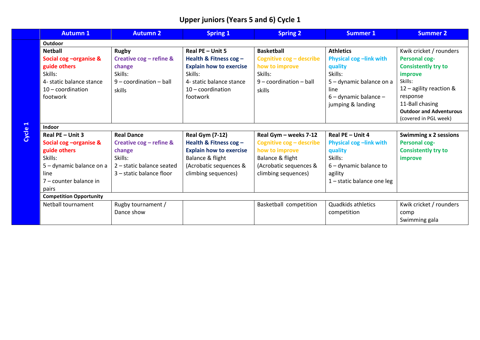### **Upper juniors (Years 5 and 6) Cycle 1**

| <b>Autumn 1</b>                | <b>Autumn 2</b>            | <b>Spring 1</b>                | <b>Spring 2</b>           | <b>Summer 1</b>               | <b>Summer 2</b>                |  |  |
|--------------------------------|----------------------------|--------------------------------|---------------------------|-------------------------------|--------------------------------|--|--|
| Outdoor                        |                            |                                |                           |                               |                                |  |  |
| <b>Netball</b>                 | <b>Rugby</b>               | Real PE - Unit 5               | <b>Basketball</b>         | <b>Athletics</b>              | Kwik cricket / rounders        |  |  |
| Social cog - organise &        | Creative cog - refine &    | Health & Fitness $\cos$ -      | Cognitive cog - describe  | Physical cog-link with        | <b>Personal cog-</b>           |  |  |
| guide others                   | change                     | <b>Explain how to exercise</b> | how to improve            | quality                       | <b>Consistently try to</b>     |  |  |
| Skills:                        | Skills:                    | Skills:                        | Skills:                   | Skills:                       | improve                        |  |  |
| 4- static balance stance       | $9$ – coordination – ball  | 4- static balance stance       | $9$ – coordination – ball | 5 – dynamic balance on a      | Skills:                        |  |  |
| $10 -$ coordination            | skills                     | $10$ – coordination            | skills                    | line                          | $12$ – agility reaction &      |  |  |
| footwork                       |                            | footwork                       |                           | $6$ – dynamic balance –       | response                       |  |  |
|                                |                            |                                |                           | jumping & landing             | 11-Ball chasing                |  |  |
|                                |                            |                                |                           |                               | <b>Outdoor and Adventurous</b> |  |  |
|                                |                            |                                |                           |                               | (covered in PGL week)          |  |  |
| Indoor                         |                            |                                |                           |                               |                                |  |  |
| <b>Real PE - Unit 3</b>        | <b>Real Dance</b>          | <b>Real Gym (7-12)</b>         | Real Gym - weeks 7-12     | Real PE - Unit 4              | <b>Swimming x 2 sessions</b>   |  |  |
| Social cog - organise &        | Creative $\cos$ – refine & | Health & Fitness cog -         | Cognitive cog - describe  | <b>Physical cog-link with</b> | <b>Personal cog-</b>           |  |  |
| guide others                   | change                     | <b>Explain how to exercise</b> | how to improve            | quality                       | <b>Consistently try to</b>     |  |  |
| Skills:                        | Skills:                    | Balance & flight               | Balance & flight          | Skills:                       | improve                        |  |  |
| 5 – dynamic balance on a       | 2 – static balance seated  | (Acrobatic sequences &         | (Acrobatic sequences &    | $6$ – dynamic balance to      |                                |  |  |
| line                           | 3 – static balance floor   | climbing sequences)            | climbing sequences)       | agility                       |                                |  |  |
| 7 – counter balance in         |                            |                                |                           | $1$ – static balance one leg  |                                |  |  |
| pairs                          |                            |                                |                           |                               |                                |  |  |
| <b>Competition Opportunity</b> |                            |                                |                           |                               |                                |  |  |
| Netball tournament             | Rugby tournament /         |                                | Basketball competition    | <b>Quadkids athletics</b>     | Kwik cricket / rounders        |  |  |
|                                | Dance show                 |                                |                           | competition                   | comp                           |  |  |
|                                |                            |                                |                           |                               | Swimming gala                  |  |  |

**Cycle 1**